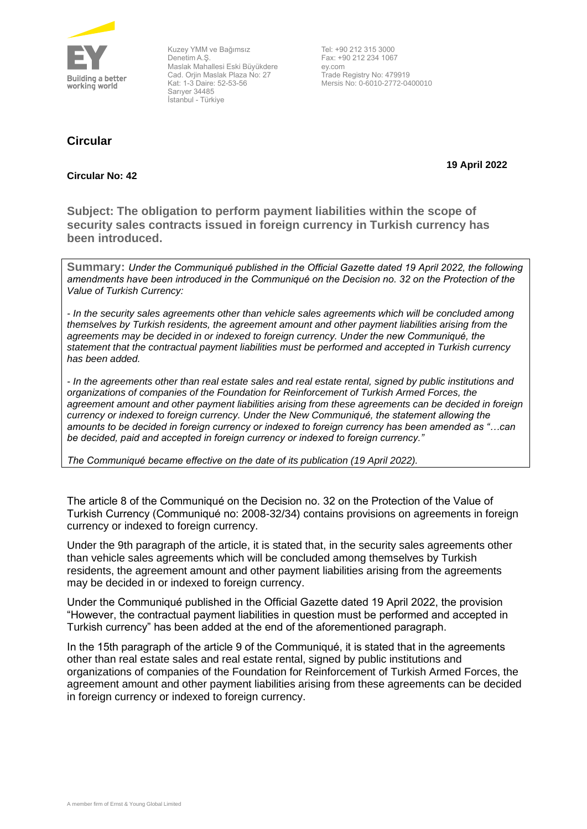

Kuzey YMM ve Bağımsız Denetim A.Ş. Maslak Mahallesi Eski Büyükdere Cad. Orjin Maslak Plaza No: 27 Kat: 1-3 Daire: 52-53-56 Sarıyer 34485 İstanbul - Türkiye

**Circular**

Tel: +90 212 315 3000 Fax: +90 212 234 1067 ey.com Trade Registry No: 479919 Mersis No: 0-6010-2772-0400010

## **Circular No: 42**

**19 April 2022** 

**Subject: The obligation to perform payment liabilities within the scope of security sales contracts issued in foreign currency in Turkish currency has been introduced.**

**Summary:** *Under the Communiqué published in the Official Gazette dated 19 April 2022, the following amendments have been introduced in the Communiqué on the Decision no. 32 on the Protection of the Value of Turkish Currency:*

*- In the security sales agreements other than vehicle sales agreements which will be concluded among themselves by Turkish residents, the agreement amount and other payment liabilities arising from the agreements may be decided in or indexed to foreign currency. Under the new Communiqué, the statement that the contractual payment liabilities must be performed and accepted in Turkish currency has been added.*

*- In the agreements other than real estate sales and real estate rental, signed by public institutions and organizations of companies of the Foundation for Reinforcement of Turkish Armed Forces, the agreement amount and other payment liabilities arising from these agreements can be decided in foreign currency or indexed to foreign currency. Under the New Communiqué, the statement allowing the amounts to be decided in foreign currency or indexed to foreign currency has been amended as "…can be decided, paid and accepted in foreign currency or indexed to foreign currency."*

*The Communiqué became effective on the date of its publication (19 April 2022).*

The article 8 of the Communiqué on the Decision no. 32 on the Protection of the Value of Turkish Currency (Communiqué no: 2008-32/34) contains provisions on agreements in foreign currency or indexed to foreign currency.

Under the 9th paragraph of the article, it is stated that, in the security sales agreements other than vehicle sales agreements which will be concluded among themselves by Turkish residents, the agreement amount and other payment liabilities arising from the agreements may be decided in or indexed to foreign currency.

Under the Communiqué published in the Official Gazette dated 19 April 2022, the provision "However, the contractual payment liabilities in question must be performed and accepted in Turkish currency" has been added at the end of the aforementioned paragraph.

In the 15th paragraph of the article 9 of the Communiqué, it is stated that in the agreements other than real estate sales and real estate rental, signed by public institutions and organizations of companies of the Foundation for Reinforcement of Turkish Armed Forces, the agreement amount and other payment liabilities arising from these agreements can be decided in foreign currency or indexed to foreign currency.